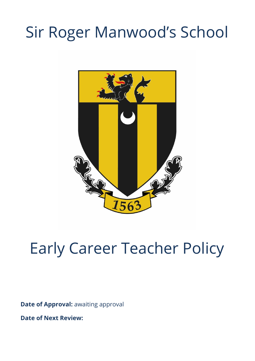# Sir Roger Manwood's School



# Early Career Teacher Policy

**Date of Approval:** awaiting approval

**Date of Next Review:**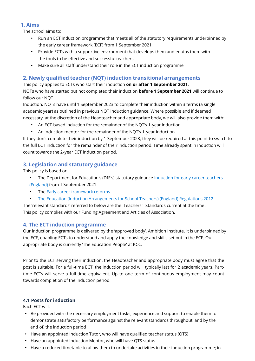# **1. Aims**

The school aims to:

- Run an ECT induction programme that meets all of the statutory requirements underpinned by the early career framework (ECF) from 1 September 2021
- Provide ECTs with a supportive environment that develops them and equips them with the tools to be effective and successful teachers
- Make sure all staff understand their role in the ECT induction programme

# **2. Newly qualified teacher (NQT) induction transitional arrangements**

This policy applies to ECTs who start their induction **on or after 1 September 2021**. NQTs who have started but not completed their induction **before 1 September 2021** will continue to follow our NQT

Induction. NQTs have until 1 September 2023 to complete their induction within 3 terms (a single academic year) as outlined in previous NQT induction guidance. Where possible and if deemed necessary, at the discretion of the Headteacher and appropriate body, we will also provide them with:

- An ECF-based induction for the remainder of the NQT's 1-year induction
- An induction mentor for the remainder of the NQT's 1-year induction

If they don't complete their induction by 1 September 2023, they will be required at this point to switch to the full ECT induction for the remainder of their induction period. Time already spent in induction will count towards the 2-year ECT induction period.

# **3. Legislation and statutory guidance**

This policy is based on:

- The Department for Education's (DfE's) statutory guidance [Induction](https://www.gov.uk/government/publications/induction-for-early-career-teachers-england) for early career teachers [\(England\)](https://www.gov.uk/government/publications/induction-for-early-career-teachers-england) from 1 September 2021
- The **Early career [framework](https://www.gov.uk/government/collections/early-career-framework-reforms) reforms**
- The Education (Induction [Arrangements](http://www.legislation.gov.uk/uksi/2012/1115/contents/made) for School Teachers) (England) Regulations 2012

The 'relevant standards' referred to below are the Teachers ' Standards [current at the time.](https://www.gov.uk/government/publications/teachers-standards) This policy complies with our Funding Agreement and Articles of Association.

# **4. The ECT induction programme**

Our induction programme is delivered by the 'approved body', Ambition Institute. It is underpinned by the ECF, enabling ECTs to understand and apply the knowledge and skills set out in the ECF. Our appropriate body is currently 'The Education People' at KCC.

Prior to the ECT serving their induction, the Headteacher and appropriate body must agree that the post is suitable. For a full-time ECT, the induction period will typically last for 2 academic years. Parttime ECTs will serve a full-time equivalent. Up to one term of continuous employment may count towards completion of the induction period.

# **4.1 Posts for induction**

Each ECT will:

- Be provided with the necessary employment tasks, experience and support to enable them to demonstrate satisfactory performance against the relevant standards throughout, and by the end of, the induction period
- Have an appointed Induction Tutor, who will have qualified teacher status (QTS)
- Have an appointed Induction Mentor, who will have QTS status
- Have a reduced timetable to allow them to undertake activities in their induction programme; in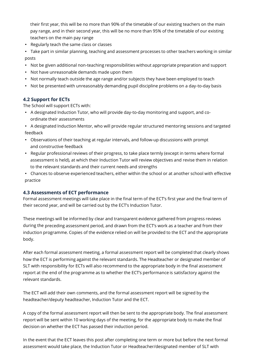their first year, this will be no more than 90% of the timetable of our existing teachers on the main pay range, and in their second year, this will be no more than 95% of the timetable of our existing teachers on the main pay range

- Regularly teach the same class or classes
- Take part in similar planning, teaching and assessment processes to other teachers working in similar posts
- Not be given additional non-teaching responsibilities without appropriate preparation and support
- Not have unreasonable demands made upon them
- Not normally teach outside the age range and/or subjects they have been employed to teach
- Not be presented with unreasonably demanding pupil discipline problems on a day-to-day basis

#### **4.2 Support for ECTs**

The School will support ECTs with:

• A designated Induction Tutor, who will provide day-to-day monitoring and support, and coordinate their assessments

• A designated Induction Mentor, who will provide regular structured mentoring sessions and targeted feedback

- Observations of their teaching at regular intervals, and follow-up discussions with prompt and constructive feedback
- Regular professional reviews of their progress, to take place termly (except in terms where formal assessment is held), at which their Induction Tutor will review objectives and revise them in relation to the relevant standards and their current needs and strengths
- Chances to observe experienced teachers, either within the school or at another school with effective practice

#### **4.3 Assessments of ECT performance**

Formal assessment meetings will take place in the final term of the ECT's first year and the final term of their second year, and will be carried out by the ECT's Induction Tutor.

These meetings will be informed by clear and transparent evidence gathered from progress reviews during the preceding assessment period, and drawn from the ECT's work as a teacher and from their induction programme. Copies of the evidence relied on will be provided to the ECT and the appropriate body.

After each formal assessment meeting, a formal assessment report will be completed that clearly shows how the ECT is performing against the relevant standards. The Headteacher or designated member of SLT with responsibility for ECTs will also recommend to the appropriate body in the final assessment report at the end of the programme as to whether the ECT's performance is satisfactory against the relevant standards.

The ECT will add their own comments, and the formal assessment report will be signed by the headteacher/deputy headteacher, Induction Tutor and the ECT.

A copy of the formal assessment report will then be sent to the appropriate body. The final assessment report will be sent within 10 working days of the meeting, for the appropriate body to make the final decision on whether the ECT has passed their induction period.

In the event that the ECT leaves this post after completing one term or more but before the next formal assessment would take place, the Induction Tutor or Headteacher/designated member of SLT with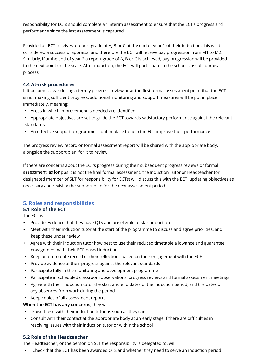responsibility for ECTs should complete an interim assessment to ensure that the ECT's progress and performance since the last assessment is captured.

Provided an ECT receives a report grade of A, B or C at the end of year 1 of their induction, this will be considered a successful appraisal and therefore the ECT will receive pay progression from M1 to M2. Similarly, if at the end of year 2 a report grade of A, B or C is achieved, pay progression will be provided to the next point on the scale. After induction, the ECT will participate in the school's usual appraisal process.

#### **4.4 At-risk procedures**

If it becomes clear during a termly progress review or at the first formal assessment point that the ECT is not making sufficient progress, additional monitoring and support measures will be put in place immediately, meaning:

- Areas in which improvement is needed are identified
- Appropriate objectives are set to guide the ECT towards satisfactory performance against the relevant standards
- An effective support programme is put in place to help the ECT improve their performance

The progress review record or formal assessment report will be shared with the appropriate body, alongside the support plan, for it to review.

If there are concerns about the ECT's progress during their subsequent progress reviews or formal assessment, as long as it is not the final formal assessment, the Induction Tutor or Headteacher (or designated member of SLT for responsibility for ECTs) will discuss this with the ECT, updating objectives as necessary and revising the support plan for the next assessment period.

# **5. Roles and responsibilities**

# **5.1 Role of the ECT**

The ECT will:

- Provide evidence that they have QTS and are eligible to start induction
- Meet with their induction tutor at the start of the programme to discuss and agree priorities, and keep these under review
- Agree with their induction tutor how best to use their reduced timetable allowance and guarantee engagement with their ECF-based induction
- Keep an up-to-date record of their reflections based on their engagement with the ECF
- Provide evidence of their progress against the relevant standards
- Participate fully in the monitoring and development programme
- Participate in scheduled classroom observations, progress reviews and formal assessment meetings
- Agree with their induction tutor the start and end dates of the induction period, and the dates of any absences from work during the period
- Keep copies of all assessment reports

# **When the ECT has any concerns**, they will:

- Raise these with their induction tutor as soon as they can
- Consult with their contact at the appropriate body at an early stage if there are difficulties in resolving issues with their induction tutor or within the school

# **5.2 Role of the Headteacher**

The Headteacher, or the person on SLT the responsibility is delegated to, will:

• Check that the ECT has been awarded QTS and whether they need to serve an induction period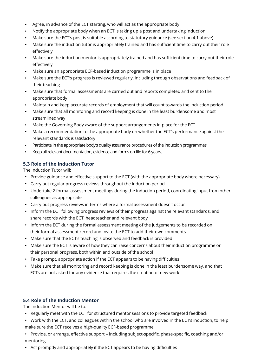- Agree, in advance of the ECT starting, who will act as the appropriate body
- Notify the appropriate body when an ECT is taking up a post and undertaking induction
- Make sure the ECT's post is suitable according to statutory guidance (see section 4.1 above)
- Make sure the induction tutor is appropriately trained and has sufficient time to carry out their role effectively
- Make sure the induction mentor is appropriately trained and has sufficient time to carry out their role effectively
- Make sure an appropriate ECF-based induction programme is in place
- Make sure the ECT's progress is reviewed regularly, including through observations and feedback of their teaching
- Make sure that formal assessments are carried out and reports completed and sent to the appropriate body
- Maintain and keep accurate records of employment that will count towards the induction period
- Make sure that all monitoring and record keeping is done in the least burdensome and most streamlined way
- Make the Governing Body aware of the support arrangements in place for the ECT
- Make a recommendation to the appropriate body on whether the ECT's performance against the relevant standards is satisfactory
- Participate in the appropriate body's quality assurance procedures of the induction programmes
- Keep all relevant documentation, evidence and forms on file for 6 years.

#### **5.3 Role of the Induction Tutor**

The Induction Tutor will:

- Provide guidance and effective support to the ECT (with the appropriate body where necessary)
- Carry out regular progress reviews throughout the induction period
- Undertake 2 formal assessment meetings during the induction period, coordinating input from other colleagues as appropriate
- Carry out progress reviews in terms where a formal assessment doesn't occur
- Inform the ECT following progress reviews of their progress against the relevant standards, and share records with the ECT, headteacher and relevant body
- Inform the ECT during the formal assessment meeting of the judgements to be recorded on their formal assessment record and invite the ECT to add their own comments
- Make sure that the ECT's teaching is observed and feedback is provided
- Make sure the ECT is aware of how they can raise concerns about their induction programme or their personal progress, both within and outside of the school
- Take prompt, appropriate action if the ECT appears to be having difficulties
- Make sure that all monitoring and record keeping is done in the least burdensome way, and that ECTs are not asked for any evidence that requires the creation of new work

#### **5.4 Role of the Induction Mentor**

The Induction Mentor will be to:

- Regularly meet with the ECT for structured mentor sessions to provide targeted feedback
- Work with the ECT, and colleagues within the school who are involved in the ECT's induction, to help make sure the ECT receives a high-quality ECF-based programme
- Provide, or arrange, effective support including subject-specific, phase-specific, coaching and/or mentoring
- Act promptly and appropriately if the ECT appears to be having difficulties